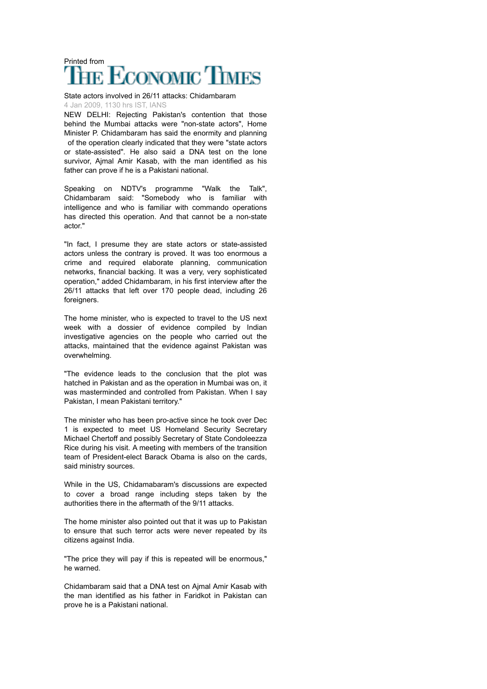## Printed from<br>THE ECONOMIC TIMES

State actors involved in 26/11 attacks: Chidambaram 4 Jan 2009, 1130 hrs IST, IANS

NEW DELHI: Rejecting Pakistan's contention that those behind the Mumbai attacks were "non-state actors", Home Minister P. Chidambaram has said the enormity and planning of the operation clearly indicated that they were "state actors or state-assisted". He also said a DNA test on the lone survivor, Ajmal Amir Kasab, with the man identified as his father can prove if he is a Pakistani national.

Speaking on NDTV's programme "Walk the Talk", Chidambaram said: "Somebody who is familiar with intelligence and who is familiar with commando operations has directed this operation. And that cannot be a non-state actor."

"In fact, I presume they are state actors or state-assisted actors unless the contrary is proved. It was too enormous a crime and required elaborate planning, communication networks, financial backing. It was a very, very sophisticated operation," added Chidambaram, in his first interview after the 26/11 attacks that left over 170 people dead, including 26 foreigners.

The home minister, who is expected to travel to the US next week with a dossier of evidence compiled by Indian investigative agencies on the people who carried out the attacks, maintained that the evidence against Pakistan was overwhelming.

"The evidence leads to the conclusion that the plot was hatched in Pakistan and as the operation in Mumbai was on, it was masterminded and controlled from Pakistan. When I say Pakistan, I mean Pakistani territory."

The minister who has been pro-active since he took over Dec 1 is expected to meet US Homeland Security Secretary Michael Chertoff and possibly Secretary of State Condoleezza Rice during his visit. A meeting with members of the transition team of President-elect Barack Obama is also on the cards, said ministry sources.

While in the US, Chidamabaram's discussions are expected to cover a broad range including steps taken by the authorities there in the aftermath of the 9/11 attacks.

The home minister also pointed out that it was up to Pakistan to ensure that such terror acts were never repeated by its citizens against India.

"The price they will pay if this is repeated will be enormous," he warned.

Chidambaram said that a DNA test on Ajmal Amir Kasab with the man identified as his father in Faridkot in Pakistan can prove he is a Pakistani national.